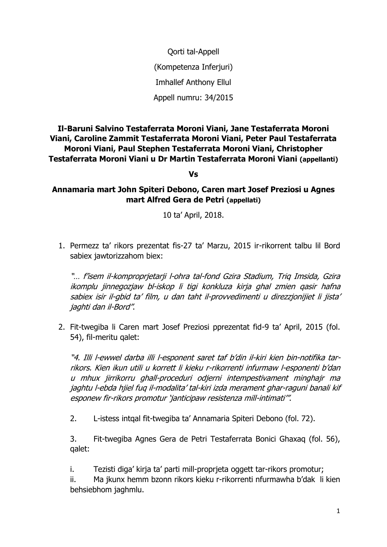Qorti tal-Appell (Kompetenza Inferjuri) Imhallef Anthony Ellul Appell numru: 34/2015

## **Il-Baruni Salvino Testaferrata Moroni Viani, Jane Testaferrata Moroni Viani, Caroline Zammit Testaferrata Moroni Viani, Peter Paul Testaferrata Moroni Viani, Paul Stephen Testaferrata Moroni Viani, Christopher Testaferrata Moroni Viani u Dr Martin Testaferrata Moroni Viani (appellanti)**

**Vs**

**Annamaria mart John Spiteri Debono, Caren mart Josef Preziosi u Agnes mart Alfred Gera de Petri (appellati)**

10 ta' April, 2018.

1. Permezz ta' rikors prezentat fis-27 ta' Marzu, 2015 ir-rikorrent talbu lil Bord sabiex jawtorizzahom biex:

"… f'isem il-komproprjetarji l-ohra tal-fond Gzira Stadium, Triq Imsida, Gzira ikomplu jinnegozjaw bl-iskop li tigi konkluza kirja ghal zmien qasir hafna sabiex isir il-gbid ta' film, u dan taht il-provvedimenti u direzzjonijiet li jista' jaghti dan il-Bord".

2. Fit-twegiba li Caren mart Josef Preziosi pprezentat fid-9 ta' April, 2015 (fol. 54), fil-meritu qalet:

"4. Illi l-ewwel darba illi l-esponent saret taf b'din il-kiri kien bin-notifika tarrikors. Kien ikun utili u korrett li kieku r-rikorrenti infurmaw l-esponenti b'dan u mhux jirrikorru ghall-proceduri odjerni intempestivament minghajr ma jaghtu l-ebda hjiel fuq il-modalita' tal-kiri izda merament ghar-raguni banali kif esponew fir-rikors promotur 'janticipaw resistenza mill-intimati'".

2. L-istess intqal fit-twegiba ta' Annamaria Spiteri Debono (fol. 72).

3. Fit-twegiba Agnes Gera de Petri Testaferrata Bonici Ghaxaq (fol. 56), qalet:

i. Tezisti diga' kirja ta' parti mill-proprjeta oggett tar-rikors promotur;

ii. Ma jkunx hemm bzonn rikors kieku r-rikorrenti nfurmawha b'dak li kien behsiebhom jaghmlu.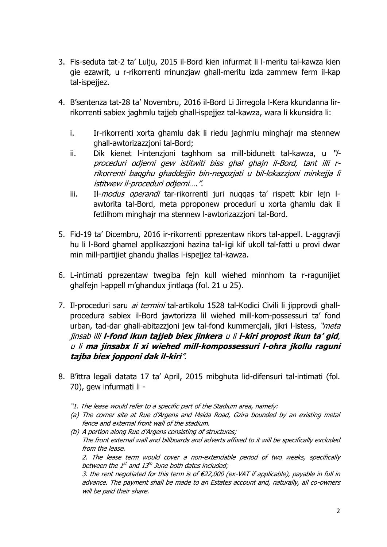- 3. Fis-seduta tat-2 ta' Lulju, 2015 il-Bord kien infurmat li l-meritu tal-kawza kien gie ezawrit, u r-rikorrenti rrinunzjaw ghall-meritu izda zammew ferm il-kap tal-ispejiez.
- 4. B'sentenza tat-28 ta' Novembru, 2016 il-Bord Li Jirregola l-Kera kkundanna lirrikorrenti sabiex jaghmlu tajjeb ghall-ispejjez tal-kawza, wara li kkunsidra li:
	- i. Ir-rikorrenti xorta ghamlu dak li riedu jaghmlu minghajr ma stennew ghall-awtorizazzjoni tal-Bord;
	- ii. Dik kienet l-intenzioni taghhom sa mill-bidunett tal-kawza, u "/proceduri odjerni gew istitwiti biss ghal ghajn il-Bord, tant illi rrikorrenti baqghu ghaddejjin bin-negozjati u bil-lokazzjoni minkejja li istitwew il-proceduri odjerni….".
	- iii. Il-*modus operandi* tar-rikorrenti juri nuqqas ta' rispett kbir lejn lawtorita tal-Bord, meta pproponew proceduri u xorta ghamlu dak li fetlilhom minghajr ma stennew l-awtorizazzjoni tal-Bord.
- 5. Fid-19 ta' Dicembru, 2016 ir-rikorrenti pprezentaw rikors tal-appell. L-aggravji hu li l-Bord ghamel applikazzjoni hazina tal-ligi kif ukoll tal-fatti u provi dwar min mill-partijiet ghandu jhallas l-ispejjez tal-kawza.
- 6. L-intimati pprezentaw twegiba fejn kull wiehed minnhom ta r-ragunijiet ghalfejn l-appell m'ghandux jintlaqa (fol. 21 u 25).
- 7. Il-proceduri saru *ai termini* tal-artikolu 1528 tal-Kodici Civili li jipprovdi ghallprocedura sabiex il-Bord jawtorizza lil wiehed mill-kom-possessuri ta' fond urban, tad-dar ghall-abitazzjoni jew tal-fond kummercjali, jikri l-istess, "*meta* jinsab illi **l-fond ikun tajjeb biex jinkera** u li **l-kiri propost ikun ta' gid**, u li **ma jinsabx li xi wiehed mill-kompossessuri l-ohra jkollu raguni tajba biex jopponi dak il-kiri**".
- 8. B'ittra legali datata 17 ta' April, 2015 mibghuta lid-difensuri tal-intimati (fol. 70), gew infurmati li -
	- "1. The lease would refer to a specific part of the Stadium area, namely:

will be paid their share.

- (a) The corner site at Rue d'Argens and Msida Road, Gzira bounded by an existing metal fence and external front wall of the stadium.
- (b) A portion along Rue d'Argens consisting of structures; The front external wall and billboards and adverts affixed to it will be specifically excluded from the lease. 2. The lease term would cover a non-extendable period of two weeks, specifically between the 1st and 13th June both dates included; 3. the rent negotiated for this term is of  $E22,000$  (ex-VAT if applicable), payable in full in advance. The payment shall be made to an Estates account and, naturally, all co-owners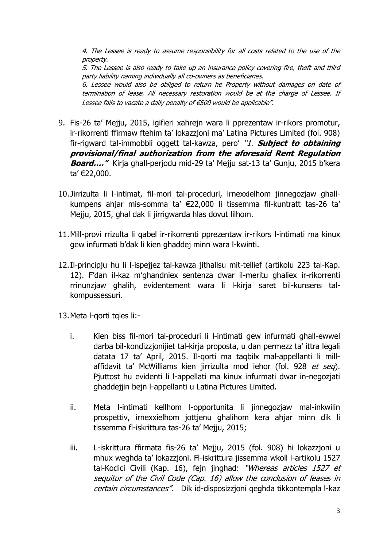4. The Lessee is ready to assume responsibility for all costs related to the use of the property.

5. The Lessee is also ready to take up an insurance policy covering fire, theft and third party liability naming individually all co-owners as beneficiaries.

6. Lessee would also be obliged to return he Property without damages on date of termination of lease. All necessary restoration would be at the charge of Lessee. If Lessee fails to vacate a daily penalty of €500 would be applicable".

- 9. Fis-26 ta' Mejju, 2015, igifieri xahrejn wara li pprezentaw ir-rikors promotur, ir-rikorrenti ffirmaw ftehim ta' lokazzjoni ma' Latina Pictures Limited (fol. 908) fir-rigward tal-immobbli oggett tal-kawza, pero' "1. **Subject to obtaining provisional/final authorization from the aforesaid Rent Regulation Board…."** Kirja ghall-perjodu mid-29 ta' Mejju sat-13 ta' Gunju, 2015 b'kera ta' €22,000.
- 10.Jirrizulta li l-intimat, fil-mori tal-proceduri, irnexxielhom jinnegozjaw ghallkumpens ahjar mis-somma ta' €22,000 li tissemma fil-kuntratt tas-26 ta' Mejju, 2015, ghal dak li jirrigwarda hlas dovut lilhom.
- 11.Mill-provi rrizulta li qabel ir-rikorrenti pprezentaw ir-rikors l-intimati ma kinux gew infurmati b'dak li kien ghaddej minn wara l-kwinti.
- 12.Il-principju hu li l-ispejjez tal-kawza jithallsu mit-tellief (artikolu 223 tal-Kap. 12). F'dan il-kaz m'ghandniex sentenza dwar il-meritu ghaliex ir-rikorrenti rrinunzjaw ghalih, evidentement wara li l-kirja saret bil-kunsens talkompussessuri.
- 13.Meta l-qorti tqies li:
	- i. Kien biss fil-mori tal-proceduri li l-intimati gew infurmati ghall-ewwel darba bil-kondizzjonijiet tal-kirja proposta, u dan permezz ta' ittra legali datata 17 ta' April, 2015. Il-qorti ma taqbilx mal-appellanti li millaffidavit ta' McWilliams kien jirrizulta mod iehor (fol. 928 et seg). Pjuttost hu evidenti li l-appellati ma kinux infurmati dwar in-negozjati ghaddejjin bejn l-appellanti u Latina Pictures Limited.
	- ii. Meta l-intimati kellhom l-opportunita li jinnegozjaw mal-inkwilin prospettiv, irnexxielhom jottjenu ghalihom kera ahjar minn dik li tissemma fl-iskrittura tas-26 ta' Mejju, 2015;
	- iii. L-iskrittura ffirmata fis-26 ta' Mejju, 2015 (fol. 908) hi lokazzjoni u mhux weghda ta' lokazzjoni. Fl-iskrittura jissemma wkoll l-artikolu 1527 tal-Kodici Civili (Kap. 16), fejn jinghad: "Whereas articles 1527 et sequitur of the Civil Code (Cap. 16) allow the conclusion of leases in certain circumstances". Dik id-disposizzjoni qeghda tikkontempla l-kaz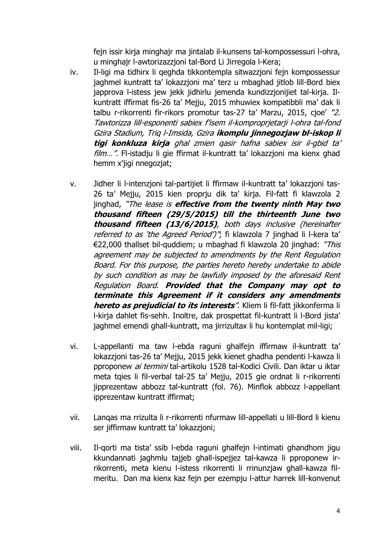fejn issir kirja minghajr ma jintalab il-kunsens tal-kompossessuri l-ohra, u minghajr l-awtorizazzjoni tal-Bord Li Jirregola l-Kera;

- iv. Il-ligi ma tidhirx li qeghda tikkontempla sitwazzjoni fejn kompossessur jaghmel kuntratt ta' lokazzjoni ma' terz u mbaghad jitlob lill-Bord biex japprova l-istess jew jekk jidhirlu jemenda kundizzjonijiet tal-kirja. Ilkuntratt iffirmat fis-26 ta' Mejju, 2015 mhuwiex kompatibbli ma' dak li talbu r-rikorrenti fir-rikors promotur tas-27 ta' Marzu, 2015, cjoe' "2. Tawtorizza lill-esponenti sabiex f'isem il-komproprjetarji l-ohra tal-fond Gzira Stadium, Triq l-Imsida, Gzira **ikomplu jinnegozjaw bl-iskop li tigi konkluza kirja** ghal zmien qasir hafna sabiex isir il-gbid ta' film...". Fl-istadju li gie ffirmat il-kuntratt ta' lokazzjoni ma kienx ghad hemm x'jigi nnegozjat;
- v. Jidher li l-intenzjoni tal-partijiet li ffirmaw il-kuntratt ta' lokazzjoni tas-26 ta' Mejju, 2015 kien proprju dik ta' kirja. Fil-fatt fi klawzola 2 jinghad, "The lease is **effective from the twenty ninth May two thousand fifteen (29/5/2015) till the thirteenth June two thousand fifteen (13/6/2015)**, both days inclusive (hereinafter referred to as 'the Agreed Period')"; fi klawzola 7 jinghad li l-kera ta' €22,000 thallset bil-quddiem; u mbaghad fi klawzola 20 jinghad: "This agreement may be subjected to amendments by the Rent Regulation Board. For this purpose, the parties hereto hereby undertake to abide by such condition as may be lawfully imposed by the aforesaid Rent Regulation Board. **Provided that the Company may opt to terminate this Agreement if it considers any amendments hereto as prejudicial to its interests**". Kliem li fil-fatt jikkonferma li l-kirja dahlet fis-sehh. Inoltre, dak prospettat fil-kuntratt li l-Bord jista' jaghmel emendi ghall-kuntratt, ma jirrizultax li hu kontemplat mil-ligi;
- vi. L-appellanti ma taw l-ebda raguni ghalfejn iffirmaw il-kuntratt ta' lokazzjoni tas-26 ta' Mejju, 2015 jekk kienet ghadha pendenti l-kawza li pproponew ai termini tal-artikolu 1528 tal-Kodici Civili. Dan iktar u iktar meta tqies li fil-verbal tal-25 ta' Mejju, 2015 gie ordnat li r-rikorrenti jipprezentaw abbozz tal-kuntratt (fol. 76). Minflok abbozz l-appellant ipprezentaw kuntratt iffirmat;
- vii. Lanqas ma rrizulta li r-rikorrenti nfurmaw lill-appellati u lill-Bord li kienu ser jiffirmaw kuntratt ta' lokazzjoni;
- viii. Il-qorti ma tista' ssib l-ebda raguni ghalfejn l-intimati ghandhom jigu kkundannati jaghmlu tajjeb ghall-ispejjez tal-kawza li pproponew irrikorrenti, meta kienu l-istess rikorrenti li rrinunzjaw ghall-kawza filmeritu. Dan ma kienx kaz fejn per ezempju l-attur harrek lill-konvenut